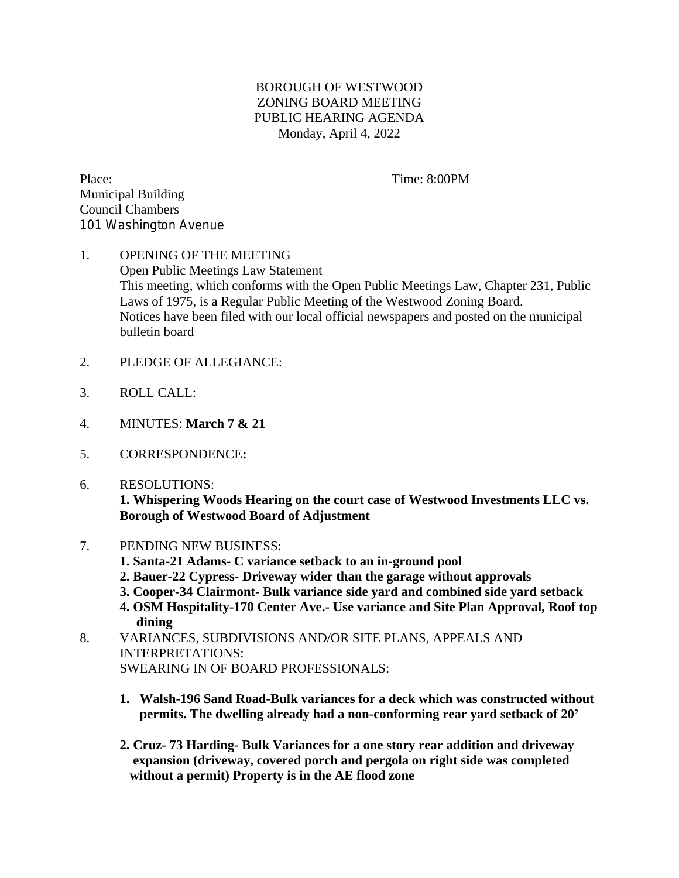## BOROUGH OF WESTWOOD ZONING BOARD MEETING PUBLIC HEARING AGENDA Monday, April 4, 2022

Place: Time: 8:00PM Municipal Building Council Chambers 101 Washington Avenue

## 1. OPENING OF THE MEETING Open Public Meetings Law Statement This meeting, which conforms with the Open Public Meetings Law, Chapter 231, Public Laws of 1975, is a Regular Public Meeting of the Westwood Zoning Board. Notices have been filed with our local official newspapers and posted on the municipal bulletin board

- 2. PLEDGE OF ALLEGIANCE:
- 3. ROLL CALL:
- 4. MINUTES: **March 7 & 21**
- 5. CORRESPONDENCE**:**
- 6. RESOLUTIONS: **1. Whispering Woods Hearing on the court case of Westwood Investments LLC vs. Borough of Westwood Board of Adjustment**
- 7. PENDING NEW BUSINESS:
	- **1. Santa-21 Adams- C variance setback to an in-ground pool**
	- **2. Bauer-22 Cypress- Driveway wider than the garage without approvals**
	- **3. Cooper-34 Clairmont- Bulk variance side yard and combined side yard setback**
	- **4. OSM Hospitality-170 Center Ave.- Use variance and Site Plan Approval, Roof top dining**
- 8. VARIANCES, SUBDIVISIONS AND/OR SITE PLANS, APPEALS AND INTERPRETATIONS: SWEARING IN OF BOARD PROFESSIONALS:
	- **1. Walsh-196 Sand Road-Bulk variances for a deck which was constructed without permits. The dwelling already had a non-conforming rear yard setback of 20'**
	- **2. Cruz- 73 Harding- Bulk Variances for a one story rear addition and driveway expansion (driveway, covered porch and pergola on right side was completed without a permit) Property is in the AE flood zone**